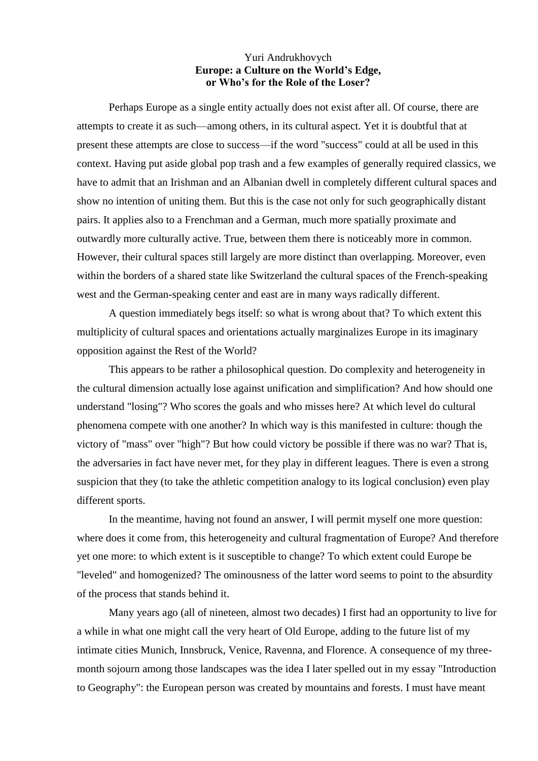## Yuri Andrukhovych **Europe: a Culture on the World's Edge, or Who's for the Role of the Loser?**

Perhaps Europe as a single entity actually does not exist after all. Of course, there are attempts to create it as such—among others, in its cultural aspect. Yet it is doubtful that at present these attempts are close to success—if the word "success" could at all be used in this context. Having put aside global pop trash and a few examples of generally required classics, we have to admit that an Irishman and an Albanian dwell in completely different cultural spaces and show no intention of uniting them. But this is the case not only for such geographically distant pairs. It applies also to a Frenchman and a German, much more spatially proximate and outwardly more culturally active. True, between them there is noticeably more in common. However, their cultural spaces still largely are more distinct than overlapping. Moreover, even within the borders of a shared state like Switzerland the cultural spaces of the French-speaking west and the German-speaking center and east are in many ways radically different.

A question immediately begs itself: so what is wrong about that? To which extent this multiplicity of cultural spaces and orientations actually marginalizes Europe in its imaginary opposition against the Rest of the World?

This appears to be rather a philosophical question. Do complexity and heterogeneity in the cultural dimension actually lose against unification and simplification? And how should one understand "losing"? Who scores the goals and who misses here? At which level do cultural phenomena compete with one another? In which way is this manifested in culture: though the victory of "mass" over "high"? But how could victory be possible if there was no war? That is, the adversaries in fact have never met, for they play in different leagues. There is even a strong suspicion that they (to take the athletic competition analogy to its logical conclusion) even play different sports.

In the meantime, having not found an answer, I will permit myself one more question: where does it come from, this heterogeneity and cultural fragmentation of Europe? And therefore yet one more: to which extent is it susceptible to change? To which extent could Europe be "leveled" and homogenized? The ominousness of the latter word seems to point to the absurdity of the process that stands behind it.

Many years ago (all of nineteen, almost two decades) I first had an opportunity to live for a while in what one might call the very heart of Old Europe, adding to the future list of my intimate cities Munich, Innsbruck, Venice, Ravenna, and Florence. A consequence of my threemonth sojourn among those landscapes was the idea I later spelled out in my essay "Introduction to Geography": the European person was created by mountains and forests. I must have meant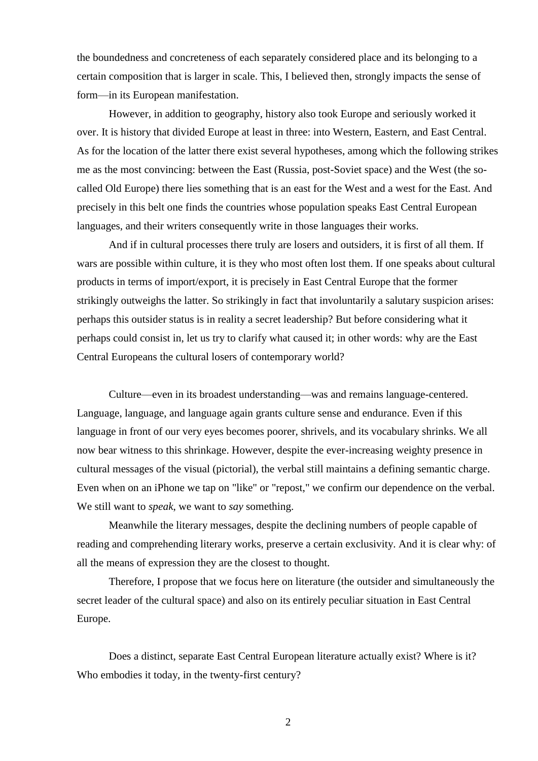the boundedness and concreteness of each separately considered place and its belonging to a certain composition that is larger in scale. This, I believed then, strongly impacts the sense of form—in its European manifestation.

However, in addition to geography, history also took Europe and seriously worked it over. It is history that divided Europe at least in three: into Western, Eastern, and East Central. As for the location of the latter there exist several hypotheses, among which the following strikes me as the most convincing: between the East (Russia, post-Soviet space) and the West (the socalled Old Europe) there lies something that is an east for the West and a west for the East. And precisely in this belt one finds the countries whose population speaks East Central European languages, and their writers consequently write in those languages their works.

And if in cultural processes there truly are losers and outsiders, it is first of all them. If wars are possible within culture, it is they who most often lost them. If one speaks about cultural products in terms of import/export, it is precisely in East Central Europe that the former strikingly outweighs the latter. So strikingly in fact that involuntarily a salutary suspicion arises: perhaps this outsider status is in reality a secret leadership? But before considering what it perhaps could consist in, let us try to clarify what caused it; in other words: why are the East Central Europeans the cultural losers of contemporary world?

Culture—even in its broadest understanding—was and remains language-centered. Language, language, and language again grants culture sense and endurance. Even if this language in front of our very eyes becomes poorer, shrivels, and its vocabulary shrinks. We all now bear witness to this shrinkage. However, despite the ever-increasing weighty presence in cultural messages of the visual (pictorial), the verbal still maintains a defining semantic charge. Even when on an iPhone we tap on "like" or "repost," we confirm our dependence on the verbal. We still want to *speak*, we want to *say* something.

Meanwhile the literary messages, despite the declining numbers of people capable of reading and comprehending literary works, preserve a certain exclusivity. And it is clear why: of all the means of expression they are the closest to thought.

Therefore, I propose that we focus here on literature (the outsider and simultaneously the secret leader of the cultural space) and also on its entirely peculiar situation in East Central Europe.

Does a distinct, separate East Central European literature actually exist? Where is it? Who embodies it today, in the twenty-first century?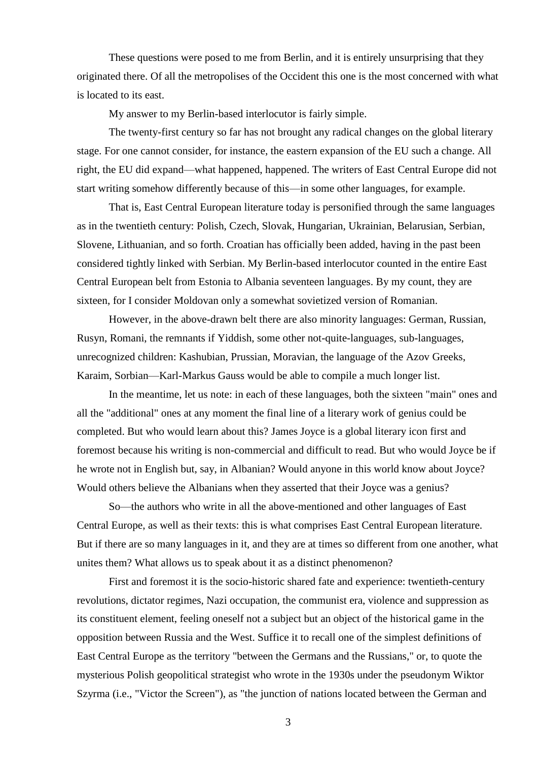These questions were posed to me from Berlin, and it is entirely unsurprising that they originated there. Of all the metropolises of the Occident this one is the most concerned with what is located to its east.

My answer to my Berlin-based interlocutor is fairly simple.

The twenty-first century so far has not brought any radical changes on the global literary stage. For one cannot consider, for instance, the eastern expansion of the EU such a change. All right, the EU did expand—what happened, happened. The writers of East Central Europe did not start writing somehow differently because of this—in some other languages, for example.

That is, East Central European literature today is personified through the same languages as in the twentieth century: Polish, Czech, Slovak, Hungarian, Ukrainian, Belarusian, Serbian, Slovene, Lithuanian, and so forth. Croatian has officially been added, having in the past been considered tightly linked with Serbian. My Berlin-based interlocutor counted in the entire East Central European belt from Estonia to Albania seventeen languages. By my count, they are sixteen, for I consider Moldovan only a somewhat sovietized version of Romanian.

However, in the above-drawn belt there are also minority languages: German, Russian, Rusyn, Romani, the remnants if Yiddish, some other not-quite-languages, sub-languages, unrecognized children: Kashubian, Prussian, Moravian, the language of the Azov Greeks, Karaim, Sorbian—Karl-Markus Gauss would be able to compile a much longer list.

In the meantime, let us note: in each of these languages, both the sixteen "main" ones and all the "additional" ones at any moment the final line of a literary work of genius could be completed. But who would learn about this? James Joyce is a global literary icon first and foremost because his writing is non-commercial and difficult to read. But who would Joyce be if he wrote not in English but, say, in Albanian? Would anyone in this world know about Joyce? Would others believe the Albanians when they asserted that their Joyce was a genius?

So—the authors who write in all the above-mentioned and other languages of East Central Europe, as well as their texts: this is what comprises East Central European literature. But if there are so many languages in it, and they are at times so different from one another, what unites them? What allows us to speak about it as a distinct phenomenon?

First and foremost it is the socio-historic shared fate and experience: twentieth-century revolutions, dictator regimes, Nazi occupation, the communist era, violence and suppression as its constituent element, feeling oneself not a subject but an object of the historical game in the opposition between Russia and the West. Suffice it to recall one of the simplest definitions of East Central Europe as the territory "between the Germans and the Russians," or, to quote the mysterious Polish geopolitical strategist who wrote in the 1930s under the pseudonym Wiktor Szyrma (i.e., "Victor the Screen"), as "the junction of nations located between the German and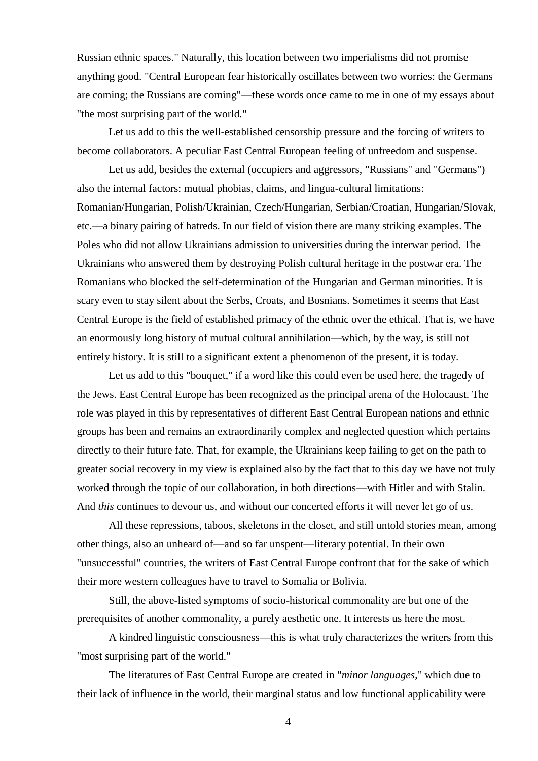Russian ethnic spaces." Naturally, this location between two imperialisms did not promise anything good. "Central European fear historically oscillates between two worries: the Germans are coming; the Russians are coming"—these words once came to me in one of my essays about "the most surprising part of the world."

Let us add to this the well-established censorship pressure and the forcing of writers to become collaborators. A peculiar East Central European feeling of unfreedom and suspense.

Let us add, besides the external (occupiers and aggressors, "Russians" and "Germans") also the internal factors: mutual phobias, claims, and lingua-cultural limitations: Romanian/Hungarian, Polish/Ukrainian, Czech/Hungarian, Serbian/Croatian, Hungarian/Slovak, etc.—a binary pairing of hatreds. In our field of vision there are many striking examples. The Poles who did not allow Ukrainians admission to universities during the interwar period. The Ukrainians who answered them by destroying Polish cultural heritage in the postwar era. The Romanians who blocked the self-determination of the Hungarian and German minorities. It is scary even to stay silent about the Serbs, Croats, and Bosnians. Sometimes it seems that East Central Europe is the field of established primacy of the ethnic over the ethical. That is, we have an enormously long history of mutual cultural annihilation—which, by the way, is still not entirely history. It is still to a significant extent a phenomenon of the present, it is today.

Let us add to this "bouquet," if a word like this could even be used here, the tragedy of the Jews. East Central Europe has been recognized as the principal arena of the Holocaust. The role was played in this by representatives of different East Central European nations and ethnic groups has been and remains an extraordinarily complex and neglected question which pertains directly to their future fate. That, for example, the Ukrainians keep failing to get on the path to greater social recovery in my view is explained also by the fact that to this day we have not truly worked through the topic of our collaboration, in both directions—with Hitler and with Stalin. And *this* continues to devour us, and without our concerted efforts it will never let go of us.

All these repressions, taboos, skeletons in the closet, and still untold stories mean, among other things, also an unheard of—and so far unspent—literary potential. In their own "unsuccessful" countries, the writers of East Central Europe confront that for the sake of which their more western colleagues have to travel to Somalia or Bolivia.

Still, the above-listed symptoms of socio-historical commonality are but one of the prerequisites of another commonality, a purely aesthetic one. It interests us here the most.

A kindred linguistic consciousness—this is what truly characterizes the writers from this "most surprising part of the world."

The literatures of East Central Europe are created in "*minor languages*," which due to their lack of influence in the world, their marginal status and low functional applicability were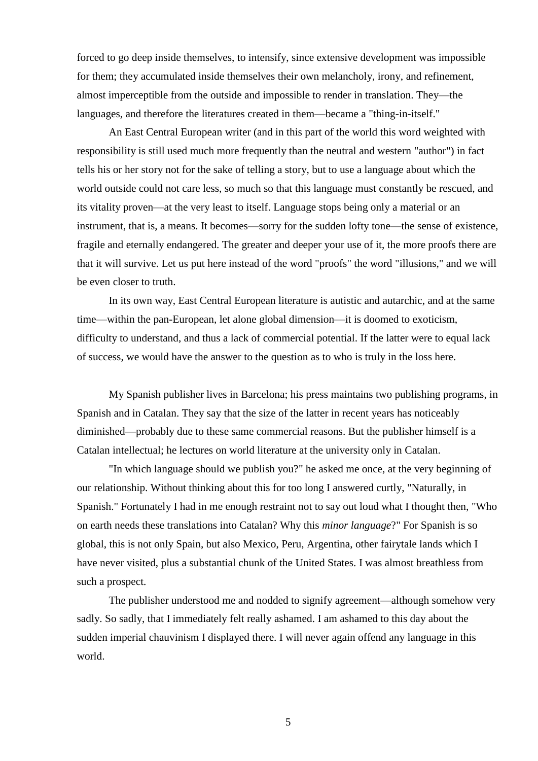forced to go deep inside themselves, to intensify, since extensive development was impossible for them; they accumulated inside themselves their own melancholy, irony, and refinement, almost imperceptible from the outside and impossible to render in translation. They—the languages, and therefore the literatures created in them—became a "thing-in-itself."

An East Central European writer (and in this part of the world this word weighted with responsibility is still used much more frequently than the neutral and western "author") in fact tells his or her story not for the sake of telling a story, but to use a language about which the world outside could not care less, so much so that this language must constantly be rescued, and its vitality proven—at the very least to itself. Language stops being only a material or an instrument, that is, a means. It becomes—sorry for the sudden lofty tone—the sense of existence, fragile and eternally endangered. The greater and deeper your use of it, the more proofs there are that it will survive. Let us put here instead of the word "proofs" the word "illusions," and we will be even closer to truth.

In its own way, East Central European literature is autistic and autarchic, and at the same time—within the pan-European, let alone global dimension—it is doomed to exoticism, difficulty to understand, and thus a lack of commercial potential. If the latter were to equal lack of success, we would have the answer to the question as to who is truly in the loss here.

My Spanish publisher lives in Barcelona; his press maintains two publishing programs, in Spanish and in Catalan. They say that the size of the latter in recent years has noticeably diminished—probably due to these same commercial reasons. But the publisher himself is a Catalan intellectual; he lectures on world literature at the university only in Catalan.

"In which language should we publish you?" he asked me once, at the very beginning of our relationship. Without thinking about this for too long I answered curtly, "Naturally, in Spanish." Fortunately I had in me enough restraint not to say out loud what I thought then, "Who on earth needs these translations into Catalan? Why this *minor language*?" For Spanish is so global, this is not only Spain, but also Mexico, Peru, Argentina, other fairytale lands which I have never visited, plus a substantial chunk of the United States. I was almost breathless from such a prospect.

The publisher understood me and nodded to signify agreement—although somehow very sadly. So sadly, that I immediately felt really ashamed. I am ashamed to this day about the sudden imperial chauvinism I displayed there. I will never again offend any language in this world.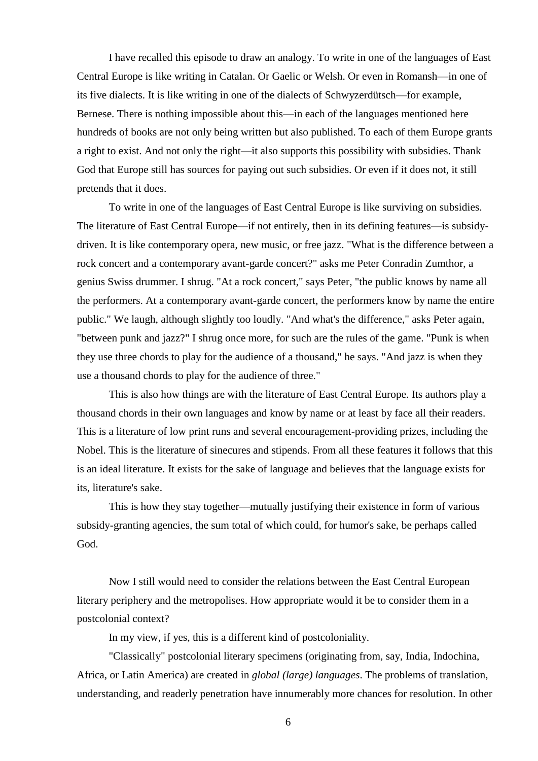I have recalled this episode to draw an analogy. To write in one of the languages of East Central Europe is like writing in Catalan. Or Gaelic or Welsh. Or even in Romansh—in one of its five dialects. It is like writing in one of the dialects of Schwyzerdütsch—for example, Bernese. There is nothing impossible about this—in each of the languages mentioned here hundreds of books are not only being written but also published. To each of them Europe grants a right to exist. And not only the right—it also supports this possibility with subsidies. Thank God that Europe still has sources for paying out such subsidies. Or even if it does not, it still pretends that it does.

To write in one of the languages of East Central Europe is like surviving on subsidies. The literature of East Central Europe—if not entirely, then in its defining features—is subsidydriven. It is like contemporary opera, new music, or free jazz. "What is the difference between a rock concert and a contemporary avant-garde concert?" asks me Peter Conradin Zumthor, a genius Swiss drummer. I shrug. "At a rock concert," says Peter, "the public knows by name all the performers. At a contemporary avant-garde concert, the performers know by name the entire public." We laugh, although slightly too loudly. "And what's the difference," asks Peter again, "between punk and jazz?" I shrug once more, for such are the rules of the game. "Punk is when they use three chords to play for the audience of a thousand," he says. "And jazz is when they use a thousand chords to play for the audience of three."

This is also how things are with the literature of East Central Europe. Its authors play a thousand chords in their own languages and know by name or at least by face all their readers. This is a literature of low print runs and several encouragement-providing prizes, including the Nobel. This is the literature of sinecures and stipends. From all these features it follows that this is an ideal literature. It exists for the sake of language and believes that the language exists for its, literature's sake.

This is how they stay together—mutually justifying their existence in form of various subsidy-granting agencies, the sum total of which could, for humor's sake, be perhaps called God.

Now I still would need to consider the relations between the East Central European literary periphery and the metropolises. How appropriate would it be to consider them in a postcolonial context?

In my view, if yes, this is a different kind of postcoloniality.

"Classically" postcolonial literary specimens (originating from, say, India, Indochina, Africa, or Latin America) are created in *global (large) languages*. The problems of translation, understanding, and readerly penetration have innumerably more chances for resolution. In other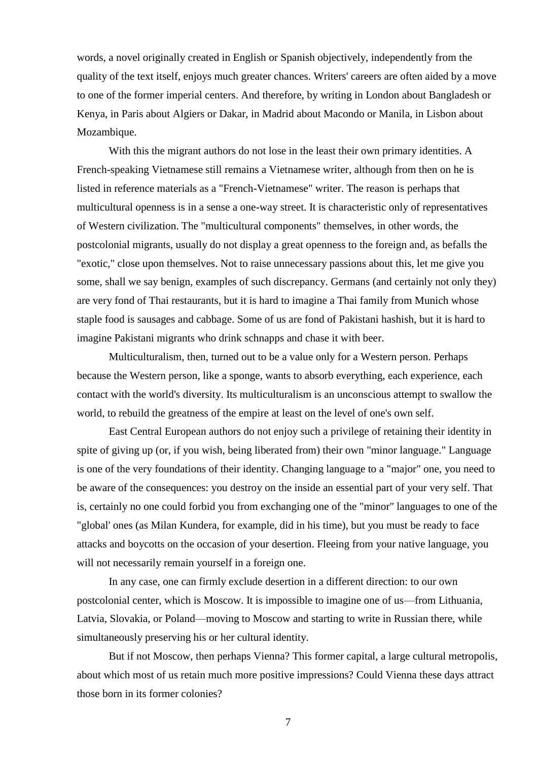words, a novel originally created in English or Spanish objectively, independently from the quality of the text itself, enjoys much greater chances. Writers' careers are often aided by a move to one of the former imperial centers. And therefore, by writing in London about Bangladesh or Kenya, in Paris about Algiers or Dakar, in Madrid about Macondo or Manila, in Lisbon about Mozambique.

With this the migrant authors do not lose in the least their own primary identities. A French-speaking Vietnamese still remains a Vietnamese writer, although from then on he is listed in reference materials as a "French-Vietnamese" writer. The reason is perhaps that multicultural openness is in a sense a one-way street. It is characteristic only of representatives of Western civilization. The "multicultural components" themselves, in other words, the postcolonial migrants, usually do not display a great openness to the foreign and, as befalls the "exotic," close upon themselves. Not to raise unnecessary passions about this, let me give you some, shall we say benign, examples of such discrepancy. Germans (and certainly not only they) are very fond of Thai restaurants, but it is hard to imagine a Thai family from Munich whose staple food is sausages and cabbage. Some of us are fond of Pakistani hashish, but it is hard to imagine Pakistani migrants who drink schnapps and chase it with beer.

Multiculturalism, then, turned out to be a value only for a Western person. Perhaps because the Western person, like a sponge, wants to absorb everything, each experience, each contact with the world's diversity. Its multiculturalism is an unconscious attempt to swallow the world, to rebuild the greatness of the empire at least on the level of one's own self.

East Central European authors do not enjoy such a privilege of retaining their identity in spite of giving up (or, if you wish, being liberated from) their own "minor language." Language is one of the very foundations of their identity. Changing language to a "major" one, you need to be aware of the consequences: you destroy on the inside an essential part of your very self. That is, certainly no one could forbid you from exchanging one of the "minor" languages to one of the "global' ones (as Milan Kundera, for example, did in his time), but you must be ready to face attacks and boycotts on the occasion of your desertion. Fleeing from your native language, you will not necessarily remain yourself in a foreign one.

In any case, one can firmly exclude desertion in a different direction: to our own postcolonial center, which is Moscow. It is impossible to imagine one of us—from Lithuania, Latvia, Slovakia, or Poland—moving to Moscow and starting to write in Russian there, while simultaneously preserving his or her cultural identity.

But if not Moscow, then perhaps Vienna? This former capital, a large cultural metropolis, about which most of us retain much more positive impressions? Could Vienna these days attract those born in its former colonies?